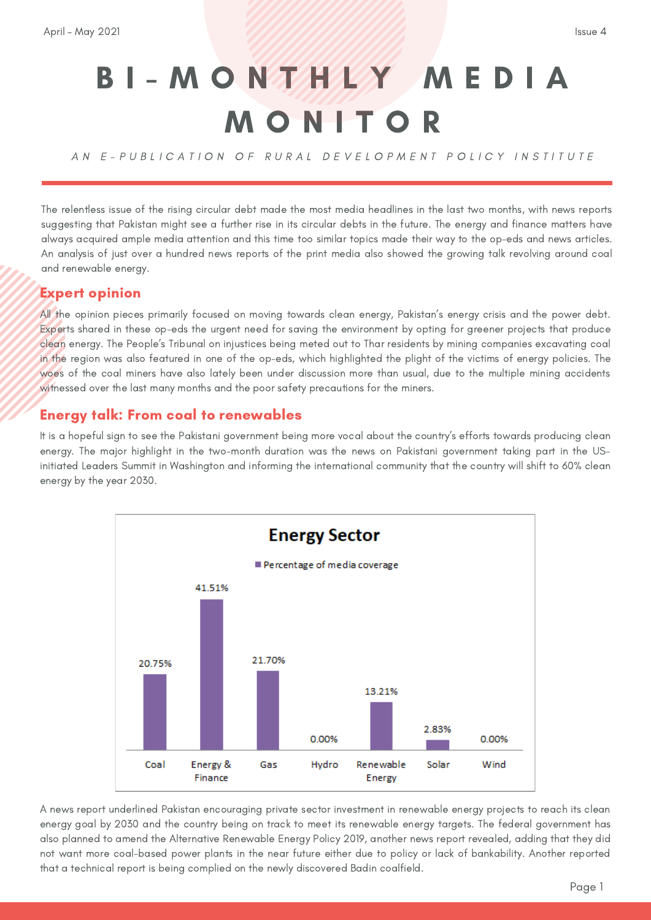## B I - M O N T H L Y M E D I A M O N I T O R

AN E-PUBLICATION OF RURAL DEVELOPMENT POLICY INSTITUTE

The relentless issue of the rising circular debt made the most media headlines in the last two months, with news reports suggesting that Pakistan might see a further rise in its circular debts in the future. The energy and finance matters have always acquired ample media attention and this time too similar topics made their way to the op-eds and news articles. An analysis of just over a hundred news reports of the print media also showed the growing talk revolving around coal and renewable energy.

## Expert opinion

All the opinion pieces primarily focused on moving towards clean energy, Pakistan's energy crisis and the power debt. Experts shared in these op-eds the urgent need for saving the environment by opting for greener projects that produce clean energy. The People's Tribunal on injustices being meted out to Thar residents by mining companies excavating coal in the region was also featured in one of the op-eds, which highlighted the plight of the victims of energy policies. The woes of the coal miners have also lately been under discussion more than usual, due to the multiple mining accidents witnessed over the last many months and the poor safety precautions for the miners.

## Energy talk: From coal to renewables

It is a hopeful sign to see the Pakistani government being more vocal about the country's efforts towards producing clean energy. The major highlight in the two-month duration was the news on Pakistani government taking part in the USinitiated Leaders Summit in Washington and informing the international community that the country will shift to 60% clean energy by the year 2030.



A news report underlined Pakistan encouraging private sector investment in renewable energy projects to reach its clean energy goal by 2030 and the country being on track to meet its renewable energy targets. The federal government has also planned to amend the Alternative Renewable Energy Policy 2019, another news report revealed, adding that they did not want more coal-based power plants in the near future either due to policy or lack of bankability. Another reported that a technical report is being complied on the newly discovered Badin coalfield.